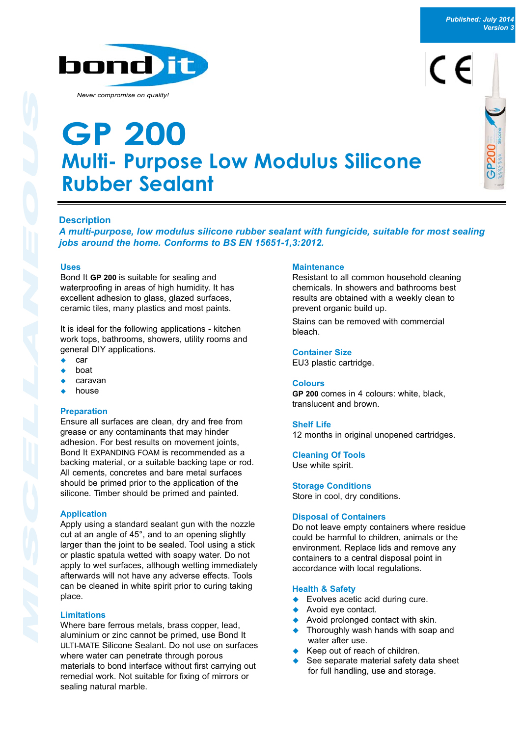

# bond it

*Never compromise on quality!*

### **Multi- Purpose Low Modulus Silicone Rubber Sealant GP 200**



#### **Description**

*A multi-purpose, low modulus silicone rubber sealant with fungicide, suitable for most sealing jobs around the home. Conforms to BS EN 15651-1,3:2012.*

#### **Uses**

Bond It **GP 200** is suitable for sealing and waterproofing in areas of high humidity. It has excellent adhesion to glass, glazed surfaces, ceramic tiles, many plastics and most paints.

It is ideal for the following applications - kitchen work tops, bathrooms, showers, utility rooms and general DIY applications.

- boat
- <sup>u</sup> caravan
- house

#### **Preparation**

Ensure all surfaces are clean, dry and free from grease or any contaminants that may hinder adhesion. For best results on movement joints, Bond It EXPANDING FOAM is recommended as a backing material, or a suitable backing tape or rod. All cements, concretes and bare metal surfaces should be primed prior to the application of the silicone. Timber should be primed and painted.

#### **Application**

Apply using a standard sealant gun with the nozzle cut at an angle of 45°, and to an opening slightly larger than the joint to be sealed. Tool using a stick or plastic spatula wetted with soapy water. Do not apply to wet surfaces, although wetting immediately afterwards will not have any adverse effects. Tools can be cleaned in white spirit prior to curing taking place.

#### **Limitations**

Where bare ferrous metals, brass copper, lead, aluminium or zinc cannot be primed, use Bond It ULTI-MATE Silicone Sealant. Do not use on surfaces where water can penetrate through porous materials to bond interface without first carrying out remedial work. Not suitable for fixing of mirrors or sealing natural marble.

#### **Maintenance**

Resistant to all common household cleaning chemicals. In showers and bathrooms best results are obtained with a weekly clean to prevent organic build up.

Stains can be removed with commercial bleach.

#### **Container Size**

EU3 plastic cartridge.

#### **Colours**

**GP 200** comes in 4 colours: white, black, translucent and brown.

#### **Shelf Life**

12 months in original unopened cartridges.

**Cleaning Of Tools** Use white spirit.

**Storage Conditions** Store in cool, dry conditions.

#### **Disposal of Containers**

Do not leave empty containers where residue could be harmful to children, animals or the environment. Replace lids and remove any containers to a central disposal point in accordance with local regulations.

#### **Health & Safety**

- Evolves acetic acid during cure.
- Avoid eve contact.
- Avoid prolonged contact with skin.
- Thoroughly wash hands with soap and water after use.
- Keep out of reach of children.
- See separate material safety data sheet for full handling, use and storage.
- 
- 
-